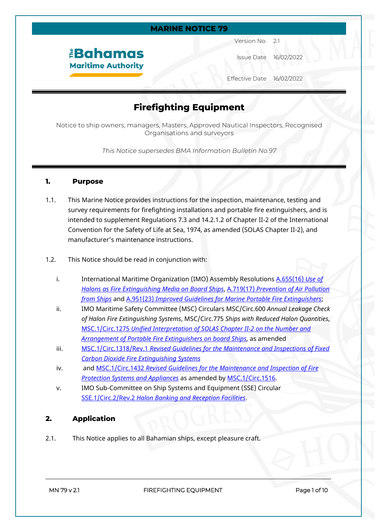## **MARINE NOTICE 79**

## *<u><b>Bahamas</u>* **Maritime Authority**

Version No. 2.1

Issue Date 16/02/2022

Effective Date 16/02/2022

# **Firefighting Equipment**

Notice to ship owners, managers, Masters, Approved Nautical Inspectors, Recognised Organisations and surveyors

*This Notice supersedes BMA Information Bulletin No.97*

#### **1. Purpose**

- 1.1. This Marine Notice provides instructions for the inspection, maintenance, testing and survey requirements for firefighting installations and portable fire extinguishers, and is intended to supplement Regulations 7.3 and 14.2.1.2 of Chapter II-2 of the International Convention for the Safety of Life at Sea, 1974, as amended (SOLAS Chapter II-2), and manufacturer's maintenance instructions.
- 1.2. This Notice should be read in conjunction with:
	- i. International Maritime Organization (IMO) Assembly Resolutions [A.655\(16\)](https://wwwcdn.imo.org/localresources/en/KnowledgeCentre/IndexofIMOResolutions/AssemblyDocuments/A.655(16).pdf) *Use of [Halons as Fire Extinguishing Media on Board Ships](https://wwwcdn.imo.org/localresources/en/KnowledgeCentre/IndexofIMOResolutions/AssemblyDocuments/A.655(16).pdf)*, A.719(17) *[Prevention of Air Pollution](https://wwwcdn.imo.org/localresources/en/KnowledgeCentre/IndexofIMOResolutions/AssemblyDocuments/A.719(17).pdf)  [from Ships](https://wwwcdn.imo.org/localresources/en/KnowledgeCentre/IndexofIMOResolutions/AssemblyDocuments/A.719(17).pdf)* and A.951(23) *[Improved Guidelines for Marine Portable Fire Extinguishers](https://wwwcdn.imo.org/localresources/en/KnowledgeCentre/IndexofIMOResolutions/AssemblyDocuments/A.951(23).pdf)*;
	- ii. IMO Maritime Safety Committee (MSC) Circulars MSC/Circ.600 *Annual Leakage Check of Halon Fire Extinguishing Systems*, MSC/Circ.775 *Ships with Reduced Halon Quantities*, MSC.1/Circ.1275 *[Unified Interpretation of SOLAS Chapter II-2 on the Number and](https://www.bahamasmaritime.com/msc-1-circ-1275/)  [Arrangement of Portable Fire Extinguishers on board Ships](https://www.bahamasmaritime.com/msc-1-circ-1275/)*, as amended
	- iii. MSC.1/Circ.1318/Rev.1 *[Revised Guidelines for the Maintenance and Inspections of Fixed](https://www.bahamasmaritime.com/wp-content/uploads/2021/11/MSC.1-Circ.-1318-Rev.1.pdf)  [Carbon Dioxide Fire Extinguishing Systems](https://www.bahamasmaritime.com/wp-content/uploads/2021/11/MSC.1-Circ.-1318-Rev.1.pdf)*
	- iv. and MSC.1/Circ.1432 *[Revised Guidelines for the Maintenance and Inspection of Fire](https://www.bahamasmaritime.com/1432-revised-guidelines-for-the-maintenance-and-inspection-of-fire-protection-systems-and-appliances-secretariat/)  [Protection Systems and Appliances](https://www.bahamasmaritime.com/1432-revised-guidelines-for-the-maintenance-and-inspection-of-fire-protection-systems-and-appliances-secretariat/)* as amended by [MSC.1/Circ.1516.](https://www.bahamasmaritime.com/msc-1-circ-1516/)
	- v. IMO Sub-Committee on Ship Systems and Equipment (SSE) Circular SSE.1/Circ.2/Rev.2 *[Halon Banking and Reception Facilities](https://www.bahamasmaritime.com/sse-1-circ-2-rev-2-halon-banking-and-reception-facilities-secretariat/)*.

## **2. Application**

2.1. This Notice applies to all Bahamian ships, except pleasure craft.

**MN 79 v 2.1 FIREFIGHTING EQUIPMENT Page 1 of 10**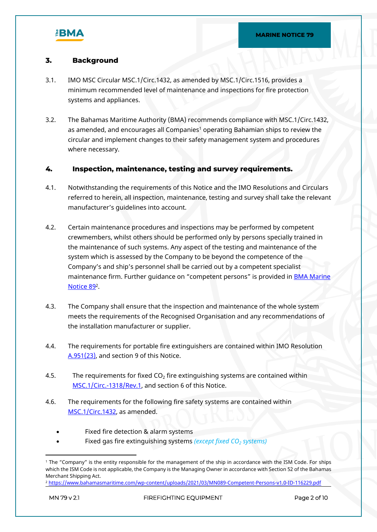

## **3. Background**

- 3.1. IMO MSC Circular MSC.1/Circ.1432, as amended by MSC.1/Circ.1516, provides a minimum recommended level of maintenance and inspections for fire protection systems and appliances.
- 3.2. The Bahamas Maritime Authority (BMA) recommends compliance with MSC.1/Circ.1432, as amended, and encourages all Companies<sup>1</sup> operating Bahamian ships to review the circular and implement changes to their safety management system and procedures where necessary.

## **4. Inspection, maintenance, testing and survey requirements.**

- 4.1. Notwithstanding the requirements of this Notice and the IMO Resolutions and Circulars referred to herein, all inspection, maintenance, testing and survey shall take the relevant manufacturer's guidelines into account.
- 4.2. Certain maintenance procedures and inspections may be performed by competent crewmembers, whilst others should be performed only by persons specially trained in the maintenance of such systems. Any aspect of the testing and maintenance of the system which is assessed by the Company to be beyond the competence of the Company's and ship's personnel shall be carried out by a competent specialist maintenance firm. Further quidance on "competent persons" is provided in **BMA Marine** [Notice 89](https://www.bahamasmaritime.com/wp-content/uploads/2021/03/MN089-Competent-Persons-v1.0-ID-116229.pdf)<sup>2</sup>.
- 4.3. The Company shall ensure that the inspection and maintenance of the whole system meets the requirements of the Recognised Organisation and any recommendations of the installation manufacturer or supplier.
- 4.4. The requirements for portable fire extinguishers are contained within IMO Resolution [A.951\(23\)](https://wwwcdn.imo.org/localresources/en/KnowledgeCentre/IndexofIMOResolutions/AssemblyDocuments/A.951(23).pdf), and section 9 of this Notice.
- 4.5. The requirements for fixed  $CO<sub>2</sub>$  fire extinguishing systems are contained within [MSC.1/Circ.-1318/Rev.1](https://www.bahamasmaritime.com/wp-content/uploads/2021/11/MSC.1-Circ.-1318-Rev.1.pdf), and section 6 of this Notice.
- 4.6. The requirements for the following fire safety systems are contained within [MSC.1/Circ.1432](https://www.bahamasmaritime.com/1432-revised-guidelines-for-the-maintenance-and-inspection-of-fire-protection-systems-and-appliances-secretariat/), as amended.
	- Fixed fire detection & alarm systems
	- Fixed gas fire extinguishing systems *(except fixed CO2 systems)*

<sup>1</sup> The "Company" is the entity responsible for the management of the ship in accordance with the ISM Code. For ships which the ISM Code is not applicable, the Company is the Managing Owner in accordance with Section 52 of the Bahamas Merchant Shipping Act.

<sup>2</sup> <https://www.bahamasmaritime.com/wp-content/uploads/2021/03/MN089-Competent-Persons-v1.0-ID-116229.pdf>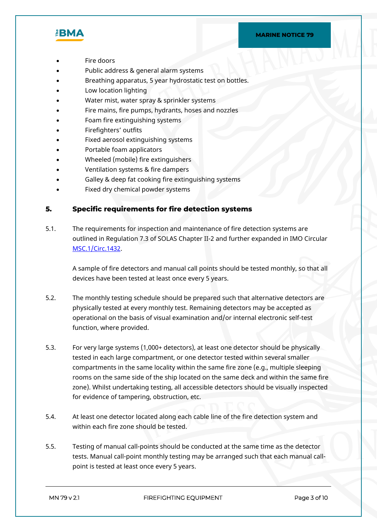#### **MARINE NOTICE 79**



- Fire doors
- Public address & general alarm systems
- Breathing apparatus, 5 year hydrostatic test on bottles.
- Low location lighting
- Water mist, water spray & sprinkler systems
- Fire mains, fire pumps, hydrants, hoses and nozzles
- Foam fire extinguishing systems
- Firefighters' outfits
- Fixed aerosol extinguishing systems
- Portable foam applicators
- Wheeled (mobile) fire extinguishers
- Ventilation systems & fire dampers
- Galley & deep fat cooking fire extinguishing systems
- Fixed dry chemical powder systems

## **5. Specific requirements for fire detection systems**

5.1. The requirements for inspection and maintenance of fire detection systems are outlined in Regulation 7.3 of SOLAS Chapter II-2 and further expanded in IMO Circular [MSC.1/Circ.1432](https://www.bahamasmaritime.com/1432-revised-guidelines-for-the-maintenance-and-inspection-of-fire-protection-systems-and-appliances-secretariat/).

A sample of fire detectors and manual call points should be tested monthly, so that all devices have been tested at least once every 5 years.

- 5.2. The monthly testing schedule should be prepared such that alternative detectors are physically tested at every monthly test. Remaining detectors may be accepted as operational on the basis of visual examination and/or internal electronic self-test function, where provided.
- 5.3. For very large systems (1,000+ detectors), at least one detector should be physically tested in each large compartment, or one detector tested within several smaller compartments in the same locality within the same fire zone (e.g., multiple sleeping rooms on the same side of the ship located on the same deck and within the same fire zone). Whilst undertaking testing, all accessible detectors should be visually inspected for evidence of tampering, obstruction, etc.
- 5.4. At least one detector located along each cable line of the fire detection system and within each fire zone should be tested.
- 5.5. Testing of manual call-points should be conducted at the same time as the detector tests. Manual call-point monthly testing may be arranged such that each manual callpoint is tested at least once every 5 years.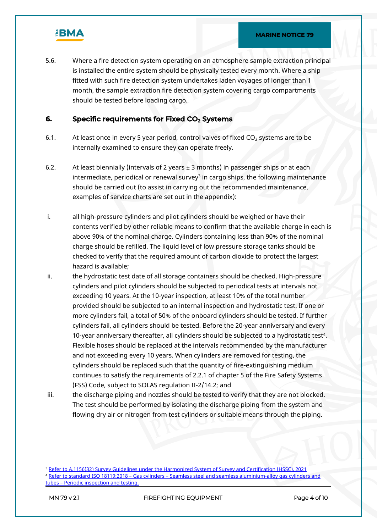

5.6. Where a fire detection system operating on an atmosphere sample extraction principal is installed the entire system should be physically tested every month. Where a ship fitted with such fire detection system undertakes laden voyages of longer than 1 month, the sample extraction fire detection system covering cargo compartments should be tested before loading cargo.

## **6. Specific requirements for Fixed CO2 Systems**

- 6.1. At least once in every 5 year period, control valves of fixed  $CO<sub>2</sub>$  systems are to be internally examined to ensure they can operate freely.
- 6.2. At least biennially (intervals of 2 years  $\pm$  3 months) in passenger ships or at each intermediate, periodical or renewal survey ${}^{3}$  in cargo ships, the following maintenance should be carried out (to assist in carrying out the recommended maintenance, examples of service charts are set out in the appendix):
- i. all high-pressure cylinders and pilot cylinders should be weighed or have their contents verified by other reliable means to confirm that the available charge in each is above 90% of the nominal charge. Cylinders containing less than 90% of the nominal charge should be refilled. The liquid level of low pressure storage tanks should be checked to verify that the required amount of carbon dioxide to protect the largest hazard is available;
- ii. the hydrostatic test date of all storage containers should be checked. High-pressure cylinders and pilot cylinders should be subjected to periodical tests at intervals not exceeding 10 years. At the 10-year inspection, at least 10% of the total number provided should be subjected to an internal inspection and hydrostatic test. If one or more cylinders fail, a total of 50% of the onboard cylinders should be tested. If further cylinders fail, all cylinders should be tested. Before the 20-year anniversary and every 10-year anniversary thereafter, all cylinders should be subjected to a hydrostatic test<sup>4</sup> . Flexible hoses should be replaced at the intervals recommended by the manufacturer and not exceeding every 10 years. When cylinders are removed for testing, the cylinders should be replaced such that the quantity of fire-extinguishing medium continues to satisfy the requirements of 2.2.1 of chapter 5 of the Fire Safety Systems (FSS) Code, subject to SOLAS regulation II-2/14.2; and
- iii. the discharge piping and nozzles should be tested to verify that they are not blocked. The test should be performed by isolating the discharge piping from the system and flowing dry air or nitrogen from test cylinders or suitable means through the piping.

**MN 79 v 2.1 FIREFIGHTING EQUIPMENT Page 4 of 10**

<sup>3</sup> [Refer to A.1156\(32\) Survey Guidelines under the Harmonized System of Survey and Certification \(HSSC\), 2021](https://www.bahamasmaritime.com/wp-content/uploads/2022/02/A1156_32-HSSC-Guidelines-2021.pdf) <sup>4</sup> [Refer to standard ISO 18119:2018 – Gas cylinders – Seamless steel and seamless aluminium-alloy gas cylinders and](https://www.bahamasmaritime.com/wp-content/uploads/2021/11/BS-EN-ISO-18119-2018-2021-05-10-12-59-06-PM.pdf)  [tubes – Periodic inspection and testing.](https://www.bahamasmaritime.com/wp-content/uploads/2021/11/BS-EN-ISO-18119-2018-2021-05-10-12-59-06-PM.pdf)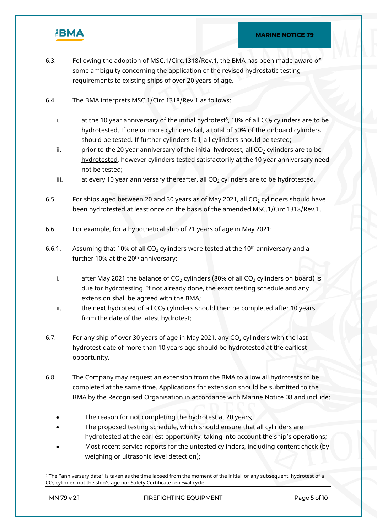

- 6.3. Following the adoption of MSC.1/Circ.1318/Rev.1, the BMA has been made aware of some ambiguity concerning the application of the revised hydrostatic testing requirements to existing ships of over 20 years of age.
- 6.4. The BMA interprets MSC.1/Circ.1318/Rev.1 as follows:
	- i.  $\qquad \qquad$  at the 10 year anniversary of the initial hydrotest $^5$ , 10% of all CO $_2$  cylinders are to be hydrotested. If one or more cylinders fail, a total of 50% of the onboard cylinders should be tested. If further cylinders fail, all cylinders should be tested;
	- ii. prior to the 20 year anniversary of the initial hydrotest, all  $CO<sub>2</sub>$  cylinders are to be hydrotested, however cylinders tested satisfactorily at the 10 year anniversary need not be tested;
	- iii.  $\qquad$  at every 10 year anniversary thereafter, all CO<sub>2</sub> cylinders are to be hydrotested.
- 6.5. For ships aged between 20 and 30 years as of May 2021, all  $CO<sub>2</sub>$  cylinders should have been hydrotested at least once on the basis of the amended MSC.1/Circ.1318/Rev.1.
- 6.6. For example, for a hypothetical ship of 21 years of age in May 2021:
- 6.6.1. Assuming that 10% of all  $CO<sub>2</sub>$  cylinders were tested at the 10<sup>th</sup> anniversary and a further 10% at the 20<sup>th</sup> anniversary:
	- i. after May 2021 the balance of  $CO<sub>2</sub>$  cylinders (80% of all  $CO<sub>2</sub>$  cylinders on board) is due for hydrotesting. If not already done, the exact testing schedule and any extension shall be agreed with the BMA;
	- ii. the next hydrotest of all  $CO<sub>2</sub>$  cylinders should then be completed after 10 years from the date of the latest hydrotest;
- 6.7. For any ship of over 30 years of age in May 2021, any  $CO<sub>2</sub>$  cylinders with the last hydrotest date of more than 10 years ago should be hydrotested at the earliest opportunity.
- 6.8. The Company may request an extension from the BMA to allow all hydrotests to be completed at the same time. Applications for extension should be submitted to the BMA by the Recognised Organisation in accordance with Marine Notice 08 and include:
	- The reason for not completing the hydrotest at 20 years;
	- The proposed testing schedule, which should ensure that all cylinders are hydrotested at the earliest opportunity, taking into account the ship's operations;
	- Most recent service reports for the untested cylinders, including content check (by weighing or ultrasonic level detection);

<sup>5</sup> The "anniversary date" is taken as the time lapsed from the moment of the initial, or any subsequent, hydrotest of a  $CO<sub>2</sub>$  cylinder, not the ship's age nor Safety Certificate renewal cycle.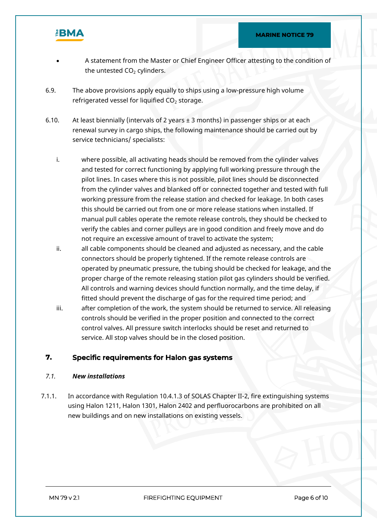

- A statement from the Master or Chief Engineer Officer attesting to the condition of the untested  $CO<sub>2</sub>$  cylinders.
- 6.9. The above provisions apply equally to ships using a low-pressure high volume refrigerated vessel for liquified  $CO<sub>2</sub>$  storage.
- 6.10. At least biennially (intervals of 2 years  $\pm$  3 months) in passenger ships or at each renewal survey in cargo ships, the following maintenance should be carried out by service technicians/ specialists:
	- i. where possible, all activating heads should be removed from the cylinder valves and tested for correct functioning by applying full working pressure through the pilot lines. In cases where this is not possible, pilot lines should be disconnected from the cylinder valves and blanked off or connected together and tested with full working pressure from the release station and checked for leakage. In both cases this should be carried out from one or more release stations when installed. If manual pull cables operate the remote release controls, they should be checked to verify the cables and corner pulleys are in good condition and freely move and do not require an excessive amount of travel to activate the system;
	- ii. all cable components should be cleaned and adjusted as necessary, and the cable connectors should be properly tightened. If the remote release controls are operated by pneumatic pressure, the tubing should be checked for leakage, and the proper charge of the remote releasing station pilot gas cylinders should be verified. All controls and warning devices should function normally, and the time delay, if fitted should prevent the discharge of gas for the required time period; and
	- iii. after completion of the work, the system should be returned to service. All releasing controls should be verified in the proper position and connected to the correct control valves. All pressure switch interlocks should be reset and returned to service. All stop valves should be in the closed position.

## **7. Specific requirements for Halon gas systems**

## *7.1. New installations*

7.1.1. In accordance with Regulation 10.4.1.3 of SOLAS Chapter II-2, fire extinguishing systems using Halon 1211, Halon 1301, Halon 2402 and perfluorocarbons are prohibited on all new buildings and on new installations on existing vessels.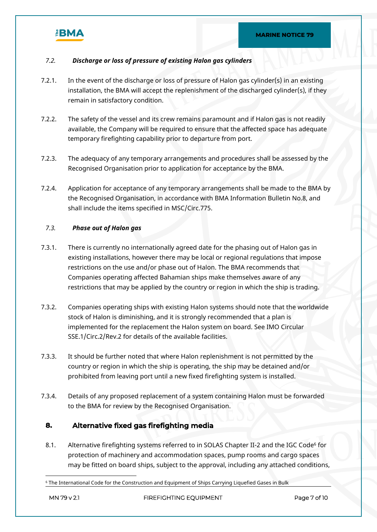

#### *7.2. Discharge or loss of pressure of existing Halon gas cylinders*

- 7.2.1. In the event of the discharge or loss of pressure of Halon gas cylinder(s) in an existing installation, the BMA will accept the replenishment of the discharged cylinder(s), if they remain in satisfactory condition.
- 7.2.2. The safety of the vessel and its crew remains paramount and if Halon gas is not readily available, the Company will be required to ensure that the affected space has adequate temporary firefighting capability prior to departure from port.
- 7.2.3. The adequacy of any temporary arrangements and procedures shall be assessed by the Recognised Organisation prior to application for acceptance by the BMA.
- 7.2.4. Application for acceptance of any temporary arrangements shall be made to the BMA by the Recognised Organisation, in accordance with BMA Information Bulletin No.8, and shall include the items specified in MSC/Circ.775.

#### *7.3. Phase out of Halon gas*

- 7.3.1. There is currently no internationally agreed date for the phasing out of Halon gas in existing installations, however there may be local or regional regulations that impose restrictions on the use and/or phase out of Halon. The BMA recommends that Companies operating affected Bahamian ships make themselves aware of any restrictions that may be applied by the country or region in which the ship is trading.
- 7.3.2. Companies operating ships with existing Halon systems should note that the worldwide stock of Halon is diminishing, and it is strongly recommended that a plan is implemented for the replacement the Halon system on board. See IMO Circular SSE.1/Circ.2/Rev.2 for details of the available facilities.
- 7.3.3. It should be further noted that where Halon replenishment is not permitted by the country or region in which the ship is operating, the ship may be detained and/or prohibited from leaving port until a new fixed firefighting system is installed.
- 7.3.4. Details of any proposed replacement of a system containing Halon must be forwarded to the BMA for review by the Recognised Organisation.

## **8. Alternative fixed gas firefighting media**

8.1. Alternative firefighting systems referred to in SOLAS Chapter II-2 and the IGC Code<sup>6</sup> for protection of machinery and accommodation spaces, pump rooms and cargo spaces may be fitted on board ships, subject to the approval, including any attached conditions,

 $^{\rm 6}$  The International Code for the Construction and Equipment of Ships Carrying Liquefied Gases in Bulk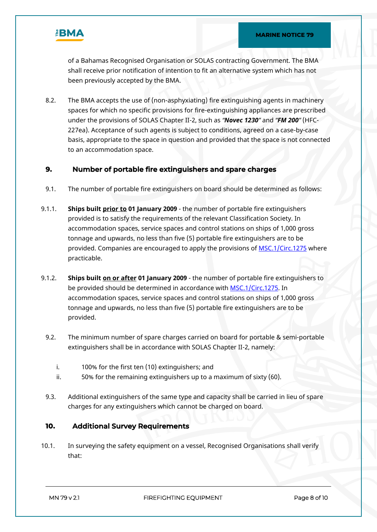

of a Bahamas Recognised Organisation or SOLAS contracting Government. The BMA shall receive prior notification of intention to fit an alternative system which has not been previously accepted by the BMA.

8.2. The BMA accepts the use of (non-asphyxiating) fire extinguishing agents in machinery spaces for which no specific provisions for fire-extinguishing appliances are prescribed under the provisions of SOLAS Chapter II-2, such as *"Novec 1230"* and *"FM 200"* (HFC-227ea). Acceptance of such agents is subject to conditions, agreed on a case-by-case basis, appropriate to the space in question and provided that the space is not connected to an accommodation space.

## **9. Number of portable fire extinguishers and spare charges**

- 9.1. The number of portable fire extinguishers on board should be determined as follows:
- 9.1.1. **Ships built prior to 01 January 2009** the number of portable fire extinguishers provided is to satisfy the requirements of the relevant Classification Society. In accommodation spaces, service spaces and control stations on ships of 1,000 gross tonnage and upwards, no less than five (5) portable fire extinguishers are to be provided. Companies are encouraged to apply the provisions of [MSC.1/Circ.1275](https://www.bahamasmaritime.com/msc-1-circ-1275/) where practicable.
- 9.1.2. **Ships built on or after 01 January 2009** the number of portable fire extinguishers to be provided should be determined in accordance with [MSC.1/Circ.1275](https://www.bahamasmaritime.com/msc-1-circ-1275/). In accommodation spaces, service spaces and control stations on ships of 1,000 gross tonnage and upwards, no less than five (5) portable fire extinguishers are to be provided.
	- 9.2. The minimum number of spare charges carried on board for portable & semi-portable extinguishers shall be in accordance with SOLAS Chapter II-2, namely:
		- i. 100% for the first ten (10) extinguishers; and
		- ii. 50% for the remaining extinguishers up to a maximum of sixty (60).
	- 9.3. Additional extinguishers of the same type and capacity shall be carried in lieu of spare charges for any extinguishers which cannot be charged on board.

## **10. Additional Survey Requirements**

10.1. In surveying the safety equipment on a vessel, Recognised Organisations shall verify that: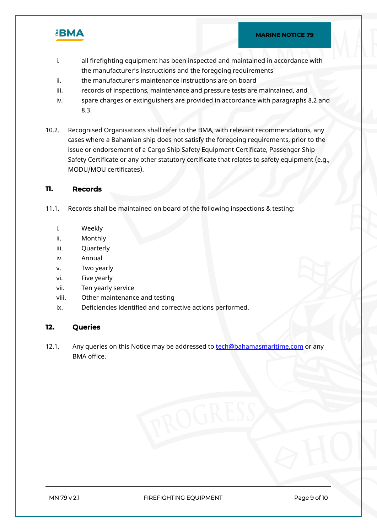

- i. all firefighting equipment has been inspected and maintained in accordance with the manufacturer's instructions and the foregoing requirements
- ii. the manufacturer's maintenance instructions are on board
- iii. records of inspections, maintenance and pressure tests are maintained, and
- iv. spare charges or extinguishers are provided in accordance with paragraphs 8.2 and 8.3.
- 10.2. Recognised Organisations shall refer to the BMA, with relevant recommendations, any cases where a Bahamian ship does not satisfy the foregoing requirements, prior to the issue or endorsement of a Cargo Ship Safety Equipment Certificate, Passenger Ship Safety Certificate or any other statutory certificate that relates to safety equipment (e.g., MODU/MOU certificates).

#### **11. Records**

- 11.1. Records shall be maintained on board of the following inspections & testing:
	- i. Weekly
	- ii. Monthly
	- iii. Quarterly
	- iv. Annual
	- v. Two yearly
	- vi. Five yearly
	- vii. Ten yearly service
	- viii. Other maintenance and testing
	- ix. Deficiencies identified and corrective actions performed.

## **12. Queries**

12.1. Any queries on this Notice may be addressed to **[tech@bahamasmaritime.com](mailto:tech@bahamasmaritime.com)** or any BMA office.